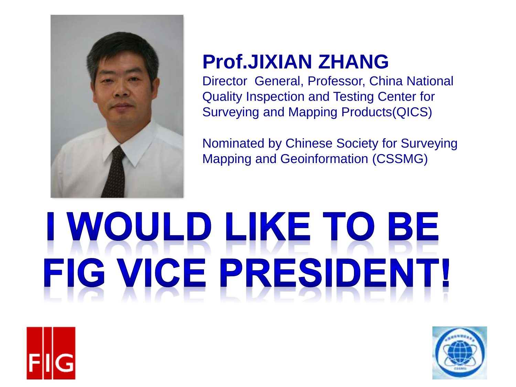

#### **Prof.JIXIAN ZHANG**

Director General, Professor, China National Quality Inspection and Testing Center for Surveying and Mapping Products(QICS)

Nominated by Chinese Society for Surveying Mapping and Geoinformation (CSSMG)

# I WOULD LIKE TO BE FIG VICE PRESIDENT!



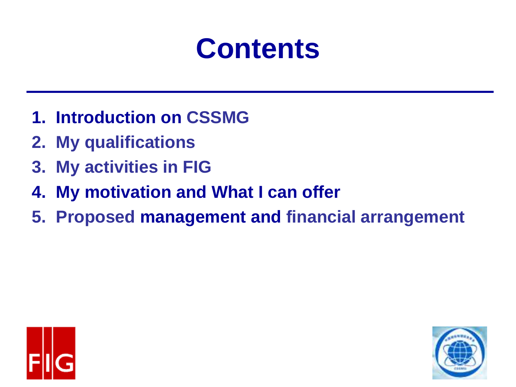## **Contents**

- **1. Introduction on CSSMG**
- **2. My qualifications**
- **3. My activities in FIG**
- **4. My motivation and What I can offer**
- **5. Proposed management and financial arrangement**



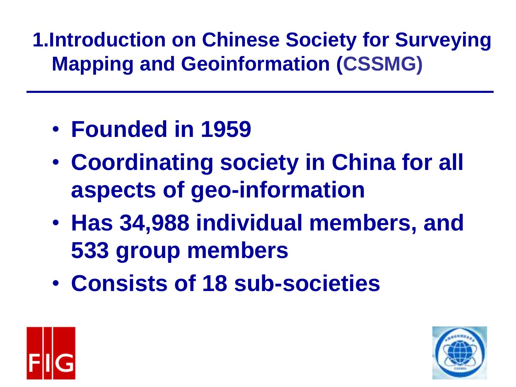#### **1.Introduction on Chinese Society for Surveying Mapping and Geoinformation (CSSMG)**

- **Founded in 1959**
- **Coordinating society in China for all aspects of geo-information**
- **Has 34,988 individual members, and 533 group members**
- **Consists of 18 sub-societies**



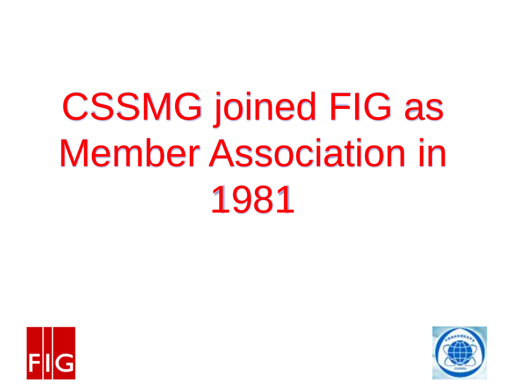# CSSMG joined FIG as Member Association in 1981



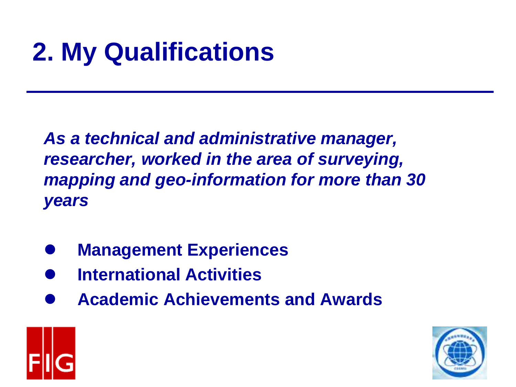## **2. My Qualifications**

*As a technical and administrative manager, researcher, worked in the area of surveying, mapping and geo-information for more than 30 years* 

- ⚫ **Management Experiences**
- ⚫ **International Activities**
- ⚫ **Academic Achievements and Awards**



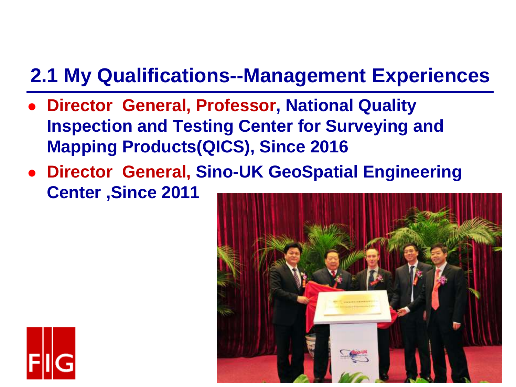#### **2.1 My Qualifications--Management Experiences**

- ⚫ **Director General, Professor, National Quality Inspection and Testing Center for Surveying and Mapping Products(QICS), Since 2016**
- ⚫ **Director General, Sino-UK GeoSpatial Engineering Center ,Since 2011**



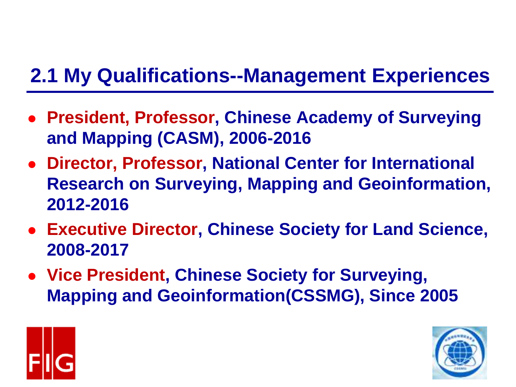#### **2.1 My Qualifications--Management Experiences**

- ⚫ **President, Professor, Chinese Academy of Surveying and Mapping (CASM), 2006-2016**
- ⚫ **Director, Professor, National Center for International Research on Surveying, Mapping and Geoinformation, 2012-2016**
- ⚫ **Executive Director, Chinese Society for Land Science, 2008-2017**
- ⚫ **Vice President, Chinese Society for Surveying, Mapping and Geoinformation(CSSMG), Since 2005**



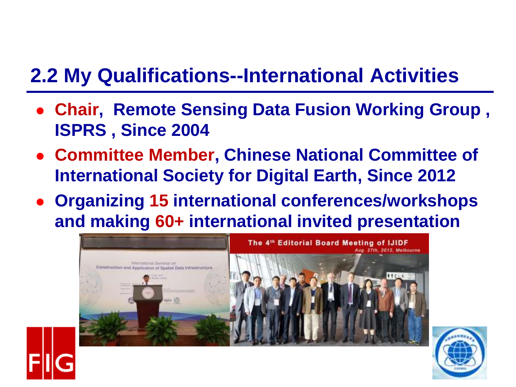#### **2.2 My Qualifications--International Activities**

- ⚫ **Chair, Remote Sensing Data Fusion Working Group , ISPRS , Since 2004**
- ⚫ **Committee Member, Chinese National Committee of International Society for Digital Earth, Since 2012**
- ⚫ **Organizing 15 international conferences/workshops and making 60+ international invited presentation**



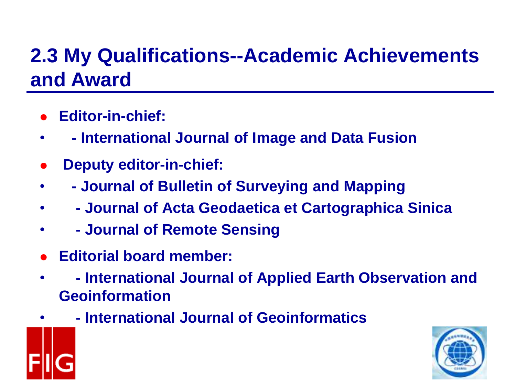- ⚫ **Editor-in-chief:**
- **- International Journal of Image and Data Fusion**
- ⚫ **Deputy editor-in-chief:**
- **- Journal of Bulletin of Surveying and Mapping**
- **- Journal of Acta Geodaetica et Cartographica Sinica**
- **- Journal of Remote Sensing**
- ⚫ **Editorial board member:**
- **- International Journal of Applied Earth Observation and Geoinformation**
	- **- International Journal of Geoinformatics**

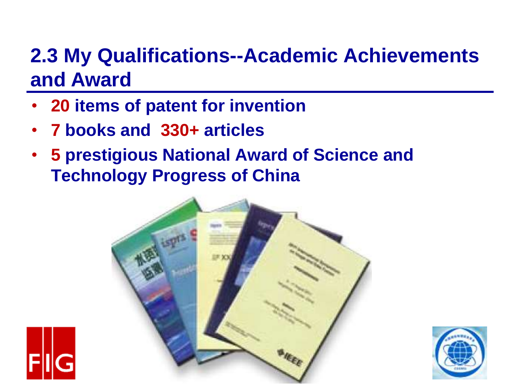- **20 items of patent for invention**
- **7 books and 330+ articles**
- **5 prestigious National Award of Science and Technology Progress of China**



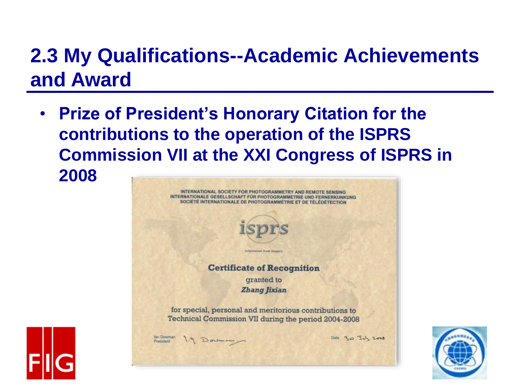**Prize of President's Honorary Citation for the contributions to the operation of the ISPRS Commission VII at the XXI Congress of ISPRS in 2008**





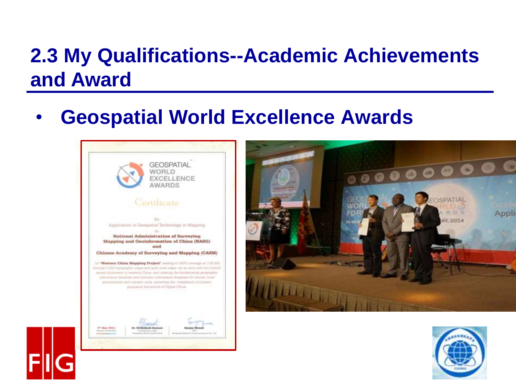#### • **Geospatial World Excellence Awards**





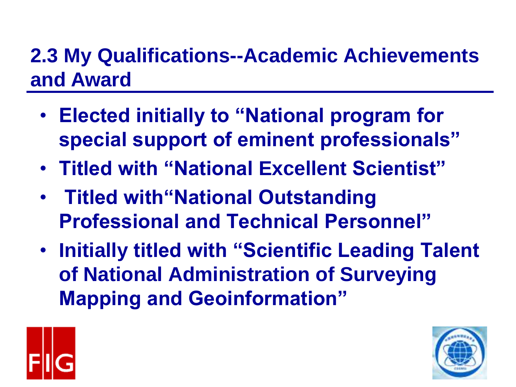- **Elected initially to "National program for special support of eminent professionals"**
- **Titled with "National Excellent Scientist"**
- **Titled with"National Outstanding Professional and Technical Personnel"**
- **Initially titled with "Scientific Leading Talent of National Administration of Surveying Mapping and Geoinformation"**



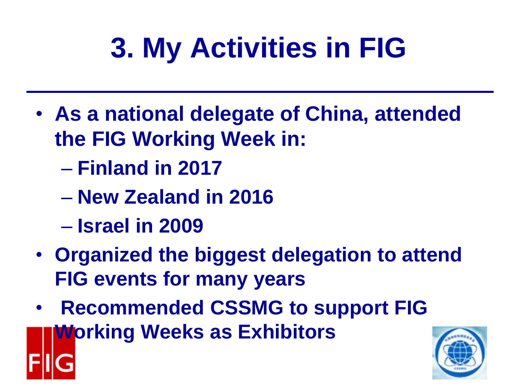# **3. My Activities in FIG**

- **As a national delegate of China, attended the FIG Working Week in:**
	- **Finland in 2017**
	- **New Zealand in 2016**
	- **Israel in 2009**
- **Organized the biggest delegation to attend FIG events for many years**
- **Recommended CSSMG to support FIG Working Weeks as Exhibitors**

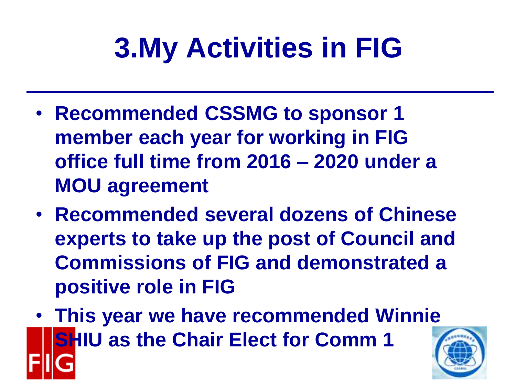# **3.My Activities in FIG**

- **Recommended CSSMG to sponsor 1 member each year for working in FIG office full time from 2016 – 2020 under a MOU agreement**
- **Recommended several dozens of Chinese experts to take up the post of Council and Commissions of FIG and demonstrated a positive role in FIG**
- **This year we have recommended Winnie SHIU as the Chair Elect for Comm 1**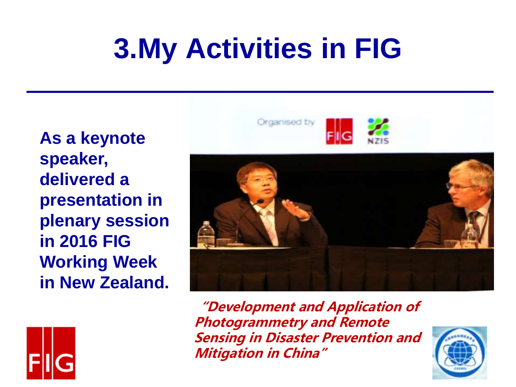## **3.My Activities in FIG**

**As a keynote speaker, delivered a presentation in plenary session in 2016 FIG Working Week in New Zealand.**





**"Development and Application of Photogrammetry and Remote Sensing in Disaster Prevention and Mitigation in China"**

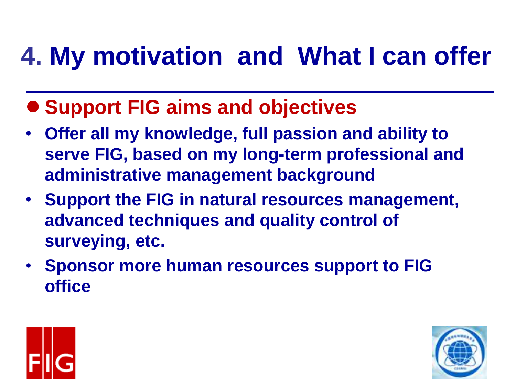### **4. My motivation and What I can offer**

- ⚫ **Support FIG aims and objectives**
- **Offer all my knowledge, full passion and ability to serve FIG, based on my long-term professional and administrative management background**
- **Support the FIG in natural resources management, advanced techniques and quality control of surveying, etc.**
- **Sponsor more human resources support to FIG office**



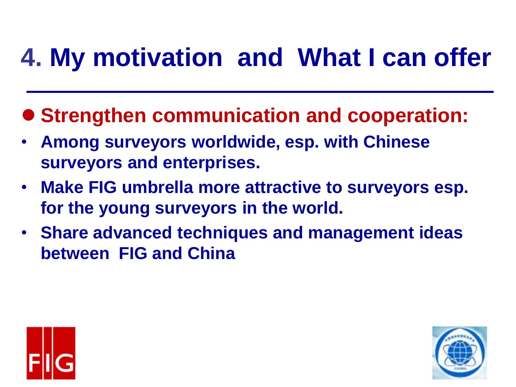### **4. My motivation and What I can offer**

- Strengthen communication and cooperation:
- **Among surveyors worldwide, esp. with Chinese surveyors and enterprises.**
- **Make FIG umbrella more attractive to surveyors esp. for the young surveyors in the world.**
- **Share advanced techniques and management ideas between FIG and China**



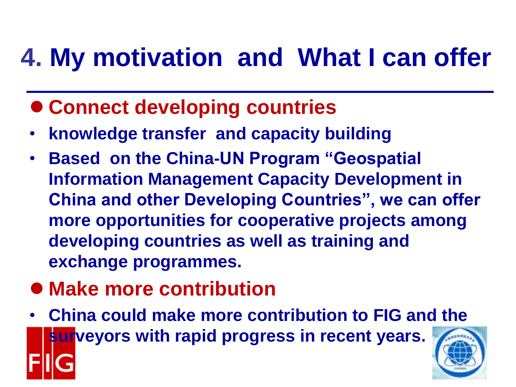### **4. My motivation and What I can offer**

- ⚫ **Connect developing countries**
- **knowledge transfer and capacity building**
- **Based on the China-UN Program "Geospatial Information Management Capacity Development in China and other Developing Countries", we can offer more opportunities for cooperative projects among developing countries as well as training and exchange programmes.**
- ⚫ **Make more contribution**
- **China could make more contribution to FIG and the surveyors with rapid progress in recent years.**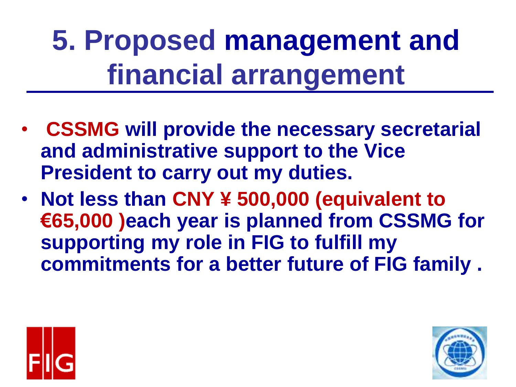**5. Proposed management and financial arrangement**

- **CSSMG will provide the necessary secretarial and administrative support to the Vice President to carry out my duties.**
- **Not less than CNY ¥ 500,000 (equivalent to €65,000 )each year is planned from CSSMG for supporting my role in FIG to fulfill my commitments for a better future of FIG family .**



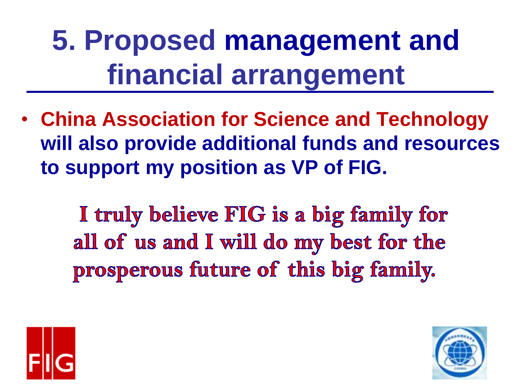**5. Proposed management and financial arrangement**

• **China Association for Science and Technology will also provide additional funds and resources to support my position as VP of FIG.**

> I truly believe FIG is a big family for all of us and I will do my best for the prosperous future of this big family.